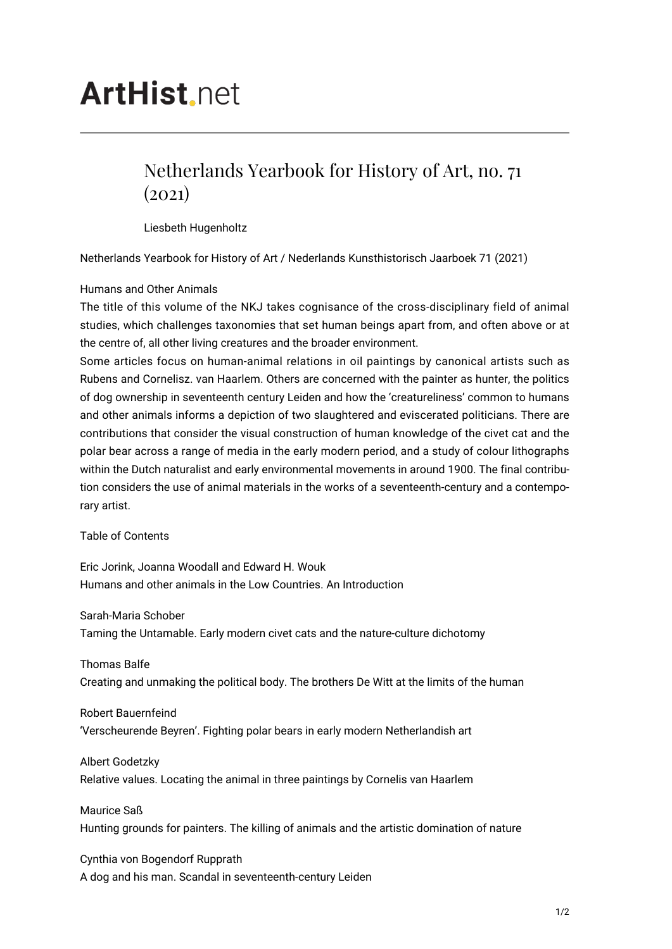## **ArtHist** net

## Netherlands Yearbook for History of Art, no. 71  $(2021)$

Liesbeth Hugenholtz

Netherlands Yearbook for History of Art / Nederlands Kunsthistorisch Jaarboek 71 (2021)

## Humans and Other Animals

The title of this volume of the NKJ takes cognisance of the cross-disciplinary field of animal studies, which challenges taxonomies that set human beings apart from, and often above or at the centre of, all other living creatures and the broader environment.

Some articles focus on human-animal relations in oil paintings by canonical artists such as Rubens and Cornelisz. van Haarlem. Others are concerned with the painter as hunter, the politics of dog ownership in seventeenth century Leiden and how the 'creatureliness' common to humans and other animals informs a depiction of two slaughtered and eviscerated politicians. There are contributions that consider the visual construction of human knowledge of the civet cat and the polar bear across a range of media in the early modern period, and a study of colour lithographs within the Dutch naturalist and early environmental movements in around 1900. The final contribution considers the use of animal materials in the works of a seventeenth-century and a contemporary artist.

Table of Contents

Eric Jorink, Joanna Woodall and Edward H. Wouk Humans and other animals in the Low Countries. An Introduction

Sarah-Maria Schober Taming the Untamable. Early modern civet cats and the nature-culture dichotomy

Thomas Balfe Creating and unmaking the political body. The brothers De Witt at the limits of the human

Robert Bauernfeind 'Verscheurende Beyren'. Fighting polar bears in early modern Netherlandish art

Albert Godetzky Relative values. Locating the animal in three paintings by Cornelis van Haarlem

Maurice Saß Hunting grounds for painters. The killing of animals and the artistic domination of nature

Cynthia von Bogendorf Rupprath A dog and his man. Scandal in seventeenth-century Leiden